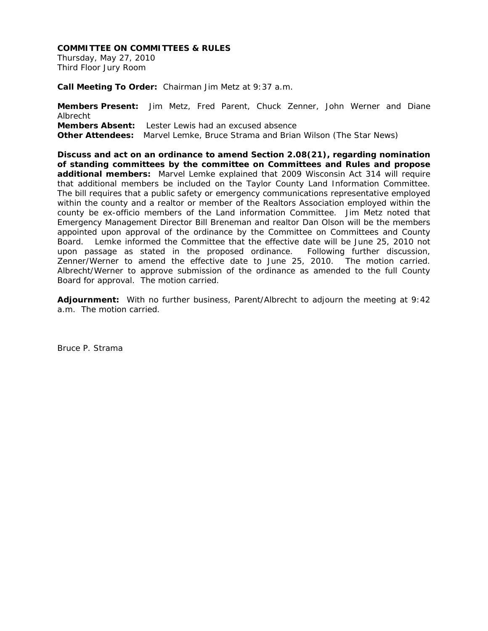#### **COMMITTEE ON COMMITTEES & RULES**

Thursday, May 27, 2010 Third Floor Jury Room

**Call Meeting To Order:** Chairman Jim Metz at 9:37 a.m.

**Members Present:** Jim Metz, Fred Parent, Chuck Zenner, John Werner and Diane Albrecht **Members Absent:** Lester Lewis had an excused absence **Other Attendees:** Marvel Lemke, Bruce Strama and Brian Wilson (The Star News)

**Discuss and act on an ordinance to amend Section 2.08(21), regarding nomination of standing committees by the committee on Committees and Rules and propose additional members:** Marvel Lemke explained that 2009 Wisconsin Act 314 will require that additional members be included on the Taylor County Land Information Committee. The bill requires that a public safety or emergency communications representative employed within the county and a realtor or member of the Realtors Association employed within the county be ex-officio members of the Land information Committee. Jim Metz noted that Emergency Management Director Bill Breneman and realtor Dan Olson will be the members appointed upon approval of the ordinance by the Committee on Committees and County Board. Lemke informed the Committee that the effective date will be June 25, 2010 not upon passage as stated in the proposed ordinance. Following further discussion, Zenner/Werner to amend the effective date to June 25, 2010. The motion carried. Albrecht/Werner to approve submission of the ordinance as amended to the full County Board for approval. The motion carried.

**Adjournment:** With no further business, Parent/Albrecht to adjourn the meeting at 9:42 a.m. The motion carried.

Bruce P. Strama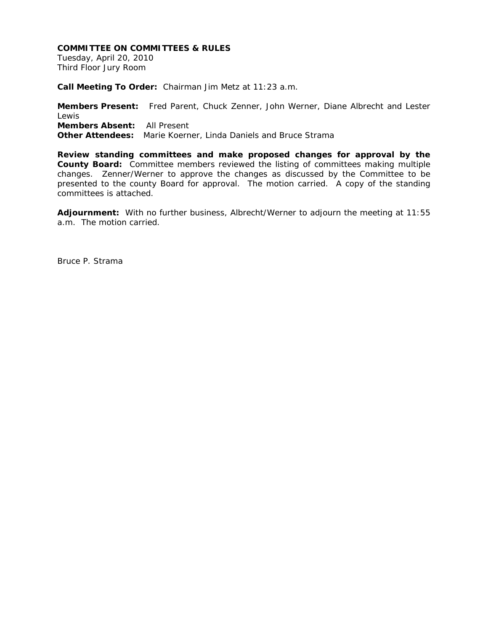#### **COMMITTEE ON COMMITTEES & RULES**

Tuesday, April 20, 2010 Third Floor Jury Room

**Call Meeting To Order:** Chairman Jim Metz at 11:23 a.m.

**Members Present:** Fred Parent, Chuck Zenner, John Werner, Diane Albrecht and Lester Lewis **Members Absent:** All Present **Other Attendees:** Marie Koerner, Linda Daniels and Bruce Strama

**Review standing committees and make proposed changes for approval by the County Board:** Committee members reviewed the listing of committees making multiple changes. Zenner/Werner to approve the changes as discussed by the Committee to be presented to the county Board for approval. The motion carried. A copy of the standing committees is attached.

**Adjournment:** With no further business, Albrecht/Werner to adjourn the meeting at 11:55 a.m. The motion carried.

Bruce P. Strama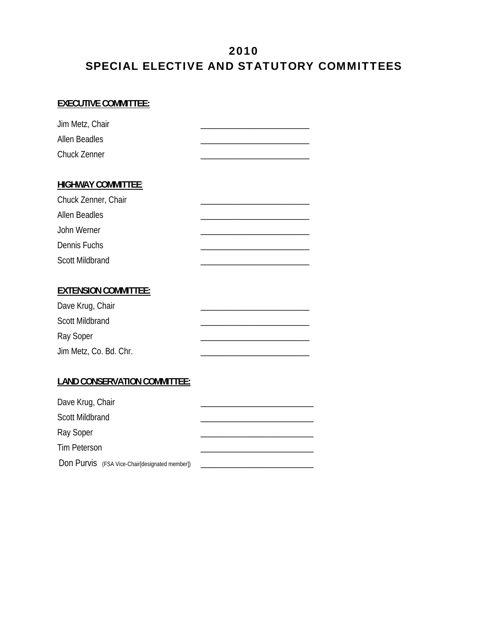## 2010 SPECIAL ELECTIVE AND STATUTORY COMMITTEES

#### **EXECUTIVE COMMITTEE:**

| Jim Metz, Chair                     |  |
|-------------------------------------|--|
| Allen Beadles                       |  |
| <b>Chuck Zenner</b>                 |  |
|                                     |  |
| <b>HIGHWAY COMMITTEE:</b>           |  |
| Chuck Zenner, Chair                 |  |
| <b>Allen Beadles</b>                |  |
| John Werner                         |  |
| Dennis Fuchs                        |  |
| <b>Scott Mildbrand</b>              |  |
|                                     |  |
| <b>EXTENSION COMMITTEE:</b>         |  |
| Dave Krug, Chair                    |  |
| <b>Scott Mildbrand</b>              |  |
| Ray Soper                           |  |
| Jim Metz, Co. Bd. Chr.              |  |
|                                     |  |
| <b>LAND CONSERVATION COMMITTEE:</b> |  |

# Dave Krug, Chair Scott Mildbrand Ray Soper Tim Peterson **and the set of the set of the set of the set of the set of the set of the set of the set of the set of the set of the set of the set of the set of the set of the set of the set of the set of the set of the se**

Don Purvis (FSA Vice-Chair[designated member]) \_\_\_\_\_\_\_\_\_\_\_\_\_\_\_\_\_\_\_\_\_\_\_\_\_\_\_\_\_\_\_\_\_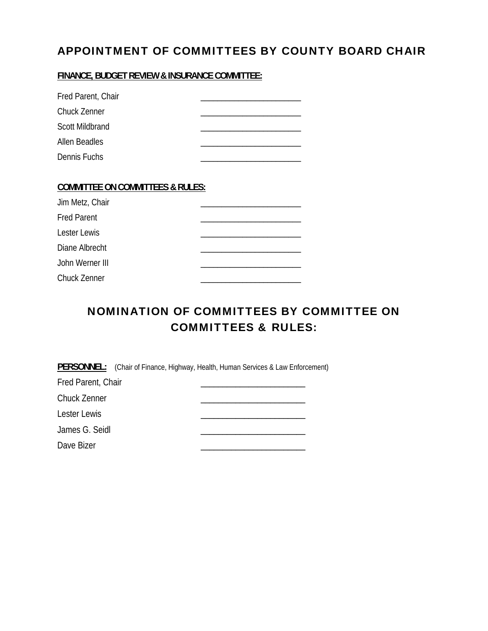## APPOINTMENT OF COMMITTEES BY COUNTY BOARD CHAIR

**FINANCE, BUDGET REVIEW & INSURANCE COMMITTEE:**

| Fred Parent, Chair                          |  |
|---------------------------------------------|--|
| <b>Chuck Zenner</b>                         |  |
| Scott Mildbrand                             |  |
| Allen Beadles                               |  |
| Dennis Fuchs                                |  |
|                                             |  |
| <b>COMMITTEE ON COMMITTEES &amp; RULES:</b> |  |
| Jim Metz, Chair                             |  |
| <b>Fred Parent</b>                          |  |
| <b>Lester Lewis</b>                         |  |
| Diane Albrecht                              |  |
| John Werner III                             |  |
| <b>Chuck Zenner</b>                         |  |

## NOMINATION OF COMMITTEES BY COMMITTEE ON COMMITTEES & RULES:

**PERSONNEL:** (Chair of Finance, Highway, Health, Human Services & Law Enforcement)

| Fred Parent, Chair |  |
|--------------------|--|
| Chuck Zenner       |  |
| Lester Lewis       |  |
| James G. Seidl     |  |
| Dave Bizer         |  |
|                    |  |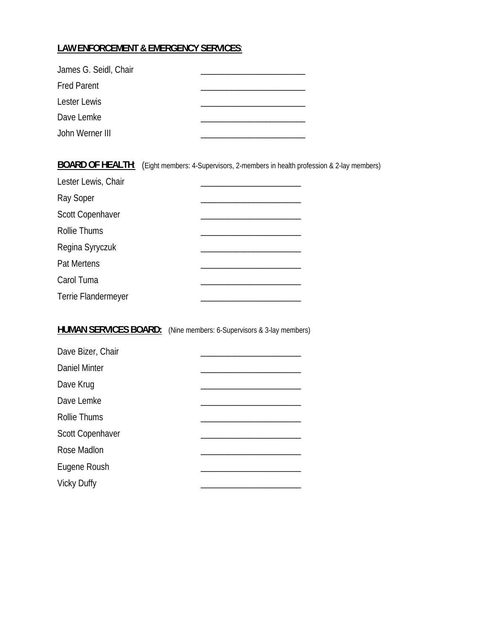#### **LAW ENFORCEMENT & EMERGENCY SERVICES**:

| James G. Seidl, Chair |  |
|-----------------------|--|
| <b>Fred Parent</b>    |  |
| Lester Lewis          |  |
| Dave Lemke            |  |
| John Werner III       |  |

**BOARD OF HEALTH:** (Eight members: 4-Supervisors, 2-members in health profession & 2-lay members) Lester Lewis, Chair Ray Soper \_\_\_\_\_\_\_\_\_\_\_\_\_\_\_\_\_\_\_\_\_\_\_ Scott Copenhaver Rollie Thums \_\_\_\_\_\_\_\_\_\_\_\_\_\_\_\_\_\_\_\_\_\_\_ Regina Syryczuk \_\_\_\_\_\_\_\_\_\_\_\_\_\_\_\_\_\_\_\_\_\_\_ Pat Mertens Carol Tuma Terrie Flandermeyer

#### **HUMAN SERVICES BOARD:** (Nine members: 6-Supervisors & 3-lay members)

| Dave Bizer, Chair    |  |
|----------------------|--|
| <b>Daniel Minter</b> |  |
| Dave Krug            |  |
| Dave Lemke           |  |
| <b>Rollie Thums</b>  |  |
| Scott Copenhaver     |  |
| Rose Madlon          |  |
| Eugene Roush         |  |
| <b>Vicky Duffy</b>   |  |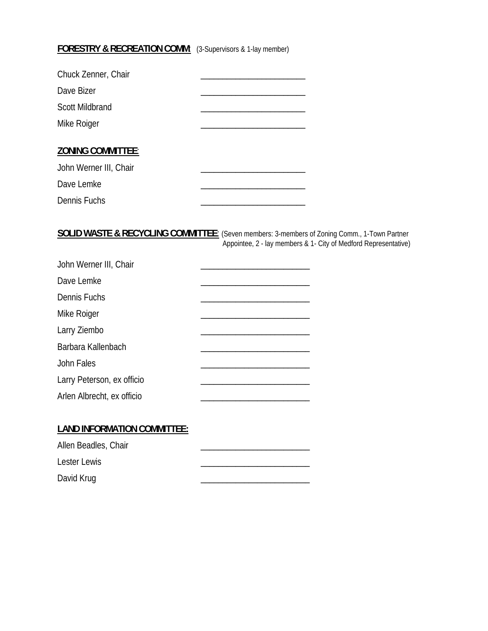#### **FORESTRY & RECREATION COMM:** (3-Supervisors & 1-lay member)

| Chuck Zenner, Chair      |  |
|--------------------------|--|
| Dave Bizer               |  |
| <b>Scott Mildbrand</b>   |  |
| Mike Roiger              |  |
|                          |  |
| <b>ZONING COMMITTEE:</b> |  |
| John Werner III, Chair   |  |
| Dave Lemke               |  |
| Dennis Fuchs             |  |

**SOLID WASTE & RECYCLING COMMITTEE**: (Seven members: 3-members of Zoning Comm., 1-Town Partner Appointee, 2 - lay members & 1- City of Medford Representative)

| John Werner III, Chair     |  |
|----------------------------|--|
| Dave Lemke                 |  |
| Dennis Fuchs               |  |
| Mike Roiger                |  |
| Larry Ziembo               |  |
| Barbara Kallenbach         |  |
| John Fales                 |  |
| Larry Peterson, ex officio |  |
| Arlen Albrecht, ex officio |  |

| Allen Beadles, Chair |  |
|----------------------|--|
| Lester Lewis         |  |
| David Krug           |  |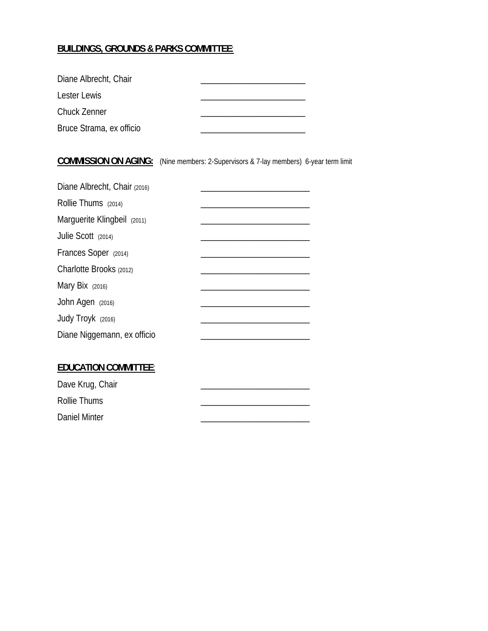#### **BUILDINGS, GROUNDS & PARKS COMMITTEE**:

| Diane Albrecht, Chair    |  |
|--------------------------|--|
| Lester Lewis             |  |
| <b>Chuck Zenner</b>      |  |
| Bruce Strama, ex officio |  |

#### **COMMISSION ON AGING:** (Nine members: 2-Supervisors & 7-lay members) 6-year term limit

| Diane Albrecht, Chair (2016) |  |
|------------------------------|--|
| Rollie Thums (2014)          |  |
| Marguerite Klingbeil (2011)  |  |
| Julie Scott (2014)           |  |
| Frances Soper (2014)         |  |
| Charlotte Brooks (2012)      |  |
| Mary Bix $(2016)$            |  |
| John Agen (2016)             |  |
| Judy Troyk (2016)            |  |
| Diane Niggemann, ex officio  |  |
|                              |  |

#### **EDUCATION COMMITTEE**:

| Dave Krug, Chair |  |
|------------------|--|
| Rollie Thums     |  |
| Daniel Minter    |  |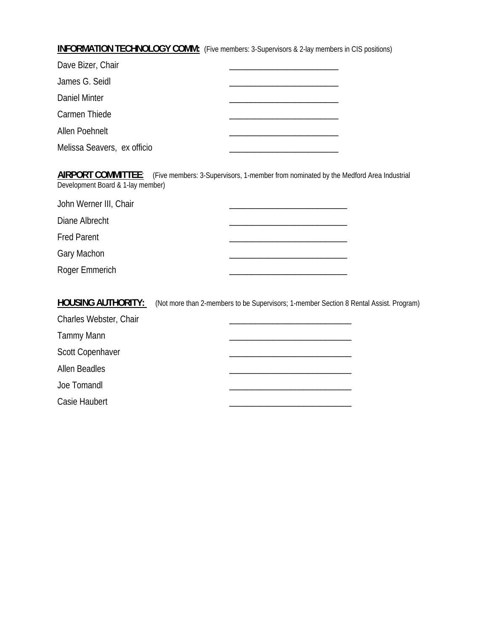**INFORMATION TECHNOLOGY COMM:** (Five members: 3-Supervisors & 2-lay members in CIS positions)

| Dave Bizer, Chair           |  |
|-----------------------------|--|
| James G. Seidl              |  |
| Daniel Minter               |  |
| Carmen Thiede               |  |
| Allen Poehnelt              |  |
| Melissa Seavers, ex officio |  |

**AIRPORT COMMITTEE**: (Five members: 3-Supervisors, 1-member from nominated by the Medford Area Industrial Development Board & 1-lay member)

John Werner III, Chair **Department of the Chair Contract of the Chair Contract of the Chair** Diane Albrecht Fred Parent Gary Machon \_\_\_\_\_\_\_\_\_\_\_\_\_\_\_\_\_\_\_\_\_\_\_\_\_\_\_ Roger Emmerich **Example 2018** 2019 12:00:00 2019 2019 2020 2021 2022 2023 2024 2022 2023 2023 2024 2022 2023 20

**HOUSING AUTHORITY:** (Not more than 2-members to be Supervisors; 1-member Section 8 Rental Assist. Program)

| Charles Webster, Chair  |  |
|-------------------------|--|
| Tammy Mann              |  |
| <b>Scott Copenhaver</b> |  |
| <b>Allen Beadles</b>    |  |
| Joe Tomandl             |  |
| Casie Haubert           |  |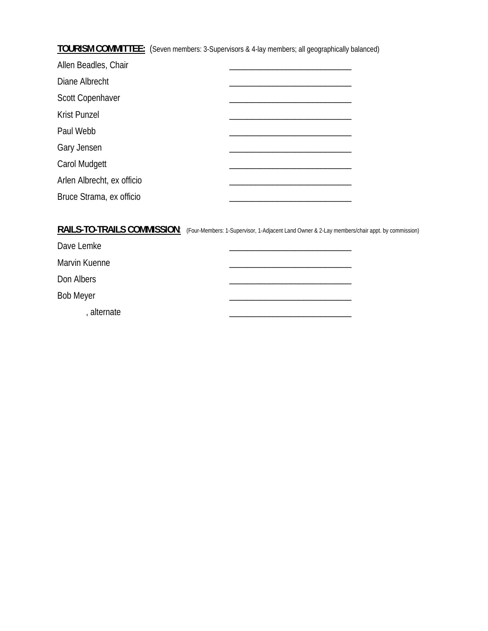**TOURISM COMMITTEE:** (Seven members: 3-Supervisors & 4-lay members; all geographically balanced)

| Allen Beadles, Chair       |  |
|----------------------------|--|
| Diane Albrecht             |  |
| Scott Copenhaver           |  |
| <b>Krist Punzel</b>        |  |
| Paul Webb                  |  |
| Gary Jensen                |  |
| Carol Mudgett              |  |
| Arlen Albrecht, ex officio |  |
| Bruce Strama, ex officio   |  |

#### RAILS-TO-TRAILS COMMISSION: (Four-Members: 1-Supervisor, 1-Adjacent Land Owner & 2-Lay members/chair appt. by commission)

| Dave Lemke       |  |
|------------------|--|
| Marvin Kuenne    |  |
| Don Albers       |  |
| <b>Bob Meyer</b> |  |
| alternate        |  |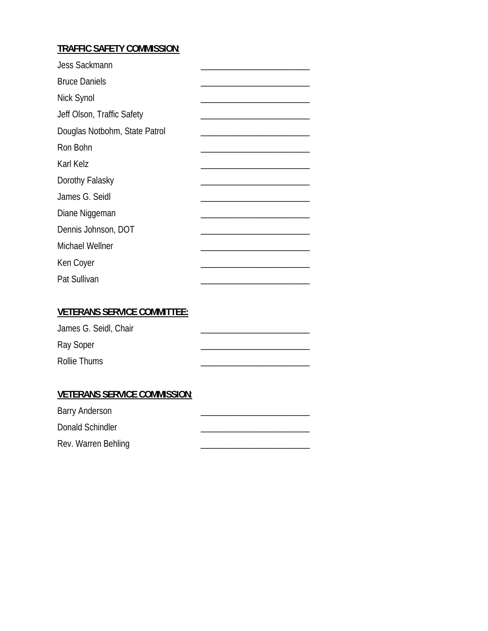#### **TRAFFIC SAFETY COMMISSION**:

| <b>Jess Sackmann</b>          |  |
|-------------------------------|--|
| <b>Bruce Daniels</b>          |  |
| Nick Synol                    |  |
| Jeff Olson, Traffic Safety    |  |
| Douglas Notbohm, State Patrol |  |
| Ron Bohn                      |  |
| Karl Kelz                     |  |
| Dorothy Falasky               |  |
| James G. Seidl                |  |
| Diane Niggeman                |  |
| Dennis Johnson, DOT           |  |
| <b>Michael Wellner</b>        |  |
| Ken Coyer                     |  |
| Pat Sullivan                  |  |

#### **VETERANS SERVICE COMMITTEE:**

| James G. Seidl, Chair |  |
|-----------------------|--|
| Ray Soper             |  |
| Rollie Thums          |  |

#### **VETERANS SERVICE COMMISSION**:

| Barry Anderson      |  |
|---------------------|--|
| Donald Schindler    |  |
| Rev. Warren Behling |  |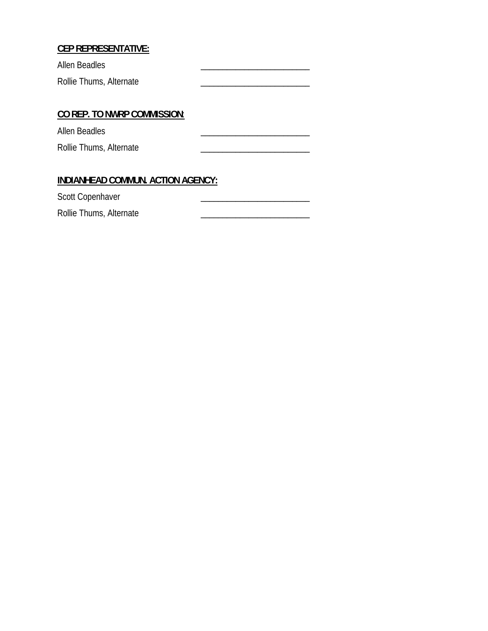#### **CEP REPRESENTATIVE:**

Allen Beadles Rollie Thums, Alternate

#### **CO REP. TO NWRP COMMISSION**:

Allen Beadles Rollie Thums, Alternate

#### **INDIANHEAD COMMUN. ACTION AGENCY:**

Scott Copenhaver

Rollie Thums, Alternate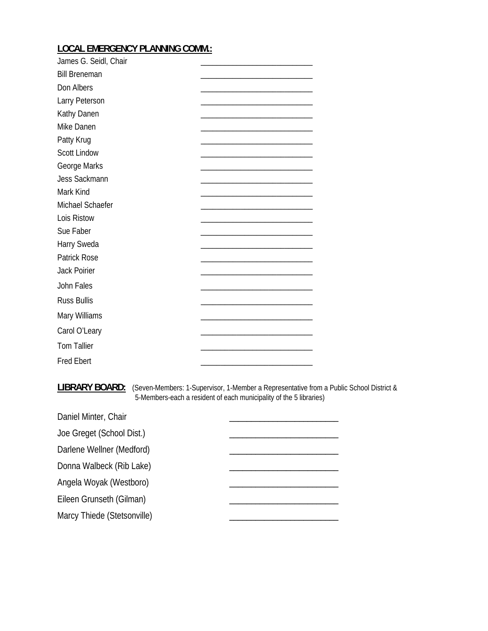### **LOCAL EMERGENCY PLANNING COMM.:**

| James G. Seidl, Chair |  |
|-----------------------|--|
| <b>Bill Breneman</b>  |  |
| Don Albers            |  |
| Larry Peterson        |  |
| Kathy Danen           |  |
| Mike Danen            |  |
| Patty Krug            |  |
| <b>Scott Lindow</b>   |  |
| George Marks          |  |
| Jess Sackmann         |  |
| Mark Kind             |  |
| Michael Schaefer      |  |
| Lois Ristow           |  |
| Sue Faber             |  |
| Harry Sweda           |  |
| <b>Patrick Rose</b>   |  |
| <b>Jack Poirier</b>   |  |
| John Fales            |  |
| <b>Russ Bullis</b>    |  |
| Mary Williams         |  |
| Carol O'Leary         |  |
| <b>Tom Tallier</b>    |  |
| <b>Fred Ebert</b>     |  |

**LIBRARY BOARD:** (Seven-Members: 1-Supervisor, 1-Member a Representative from a Public School District & 5-Members-each a resident of each municipality of the 5 libraries)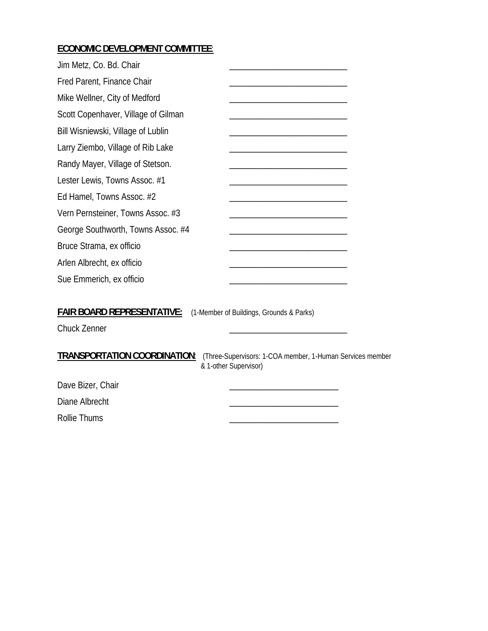## **ECONOMIC DEVELOPMENT COMMITTEE**:

| Jim Metz, Co. Bd. Chair                           |                                                                                    |
|---------------------------------------------------|------------------------------------------------------------------------------------|
| Fred Parent, Finance Chair                        |                                                                                    |
| Mike Wellner, City of Medford                     |                                                                                    |
| Scott Copenhaver, Village of Gilman               |                                                                                    |
| Bill Wisniewski, Village of Lublin                |                                                                                    |
| Larry Ziembo, Village of Rib Lake                 |                                                                                    |
| Randy Mayer, Village of Stetson.                  |                                                                                    |
| Lester Lewis, Towns Assoc. #1                     |                                                                                    |
| Ed Hamel, Towns Assoc. #2                         |                                                                                    |
| Vern Pernsteiner, Towns Assoc. #3                 |                                                                                    |
| George Southworth, Towns Assoc. #4                |                                                                                    |
| Bruce Strama, ex officio                          |                                                                                    |
| Arlen Albrecht, ex officio                        |                                                                                    |
| Sue Emmerich, ex officio                          |                                                                                    |
| <b>FAIR BOARD REPRESENTATIVE:</b><br>Chuck Zenner | (1-Member of Buildings, Grounds & Parks)                                           |
| TRANSPORTATION COORDINATION:                      | (Three-Supervisors: 1-COA member, 1-Human Services member<br>& 1-other Supervisor) |
| Dave Bizer, Chair                                 |                                                                                    |
| Diane Albrecht                                    |                                                                                    |
| <b>Rollie Thums</b>                               |                                                                                    |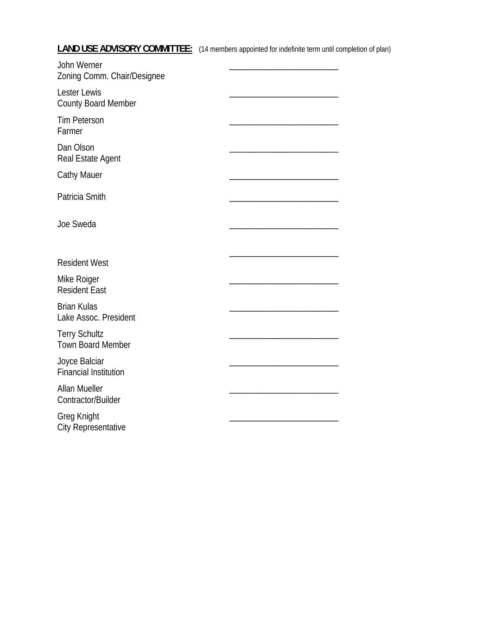**LAND USE ADVISORY COMMITTEE:** (14 members appointed for indefinite term until completion of plan)

| John Werner<br>Zoning Comm. Chair/Designee       |  |
|--------------------------------------------------|--|
| Lester Lewis<br>County Board Member              |  |
| <b>Tim Peterson</b><br>Farmer                    |  |
| Dan Olson<br>Real Estate Agent                   |  |
| <b>Cathy Mauer</b>                               |  |
| Patricia Smith                                   |  |
| Joe Sweda                                        |  |
| <b>Resident West</b>                             |  |
| Mike Roiger<br><b>Resident East</b>              |  |
| <b>Brian Kulas</b><br>Lake Assoc. President      |  |
| <b>Terry Schultz</b><br><b>Town Board Member</b> |  |
| Joyce Balciar<br><b>Financial Institution</b>    |  |
| <b>Allan Mueller</b><br>Contractor/Builder       |  |
| Greg Knight<br><b>City Representative</b>        |  |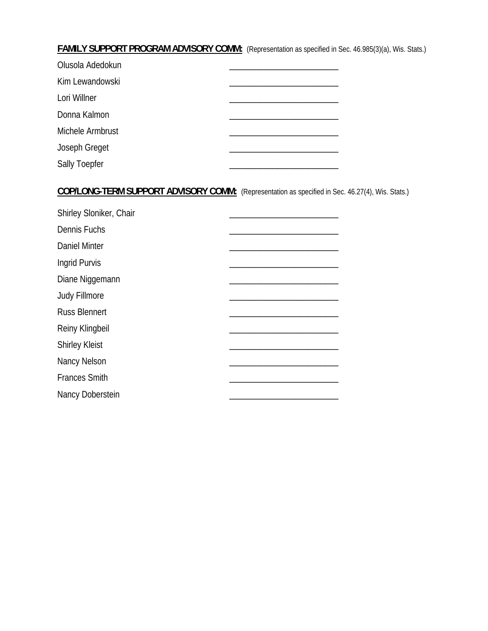#### **FAMILY SUPPORT PROGRAM ADVISORY COMM:** (Representation as specified in Sec. 46.985(3)(a), Wis. Stats.)

| Olusola Adedokun     |  |
|----------------------|--|
| Kim Lewandowski      |  |
| Lori Willner         |  |
| Donna Kalmon         |  |
| Michele Armbrust     |  |
| Joseph Greget        |  |
| <b>Sally Toepfer</b> |  |

## **COP/LONG-TERM SUPPORT ADVISORY COMM:** (Representation as specified in Sec. 46.27(4), Wis. Stats.)

| Shirley Sloniker, Chair |  |
|-------------------------|--|
| Dennis Fuchs            |  |
| <b>Daniel Minter</b>    |  |
| Ingrid Purvis           |  |
| Diane Niggemann         |  |
| Judy Fillmore           |  |
| <b>Russ Blennert</b>    |  |
| Reiny Klingbeil         |  |
| <b>Shirley Kleist</b>   |  |
| Nancy Nelson            |  |
| <b>Frances Smith</b>    |  |
| Nancy Doberstein        |  |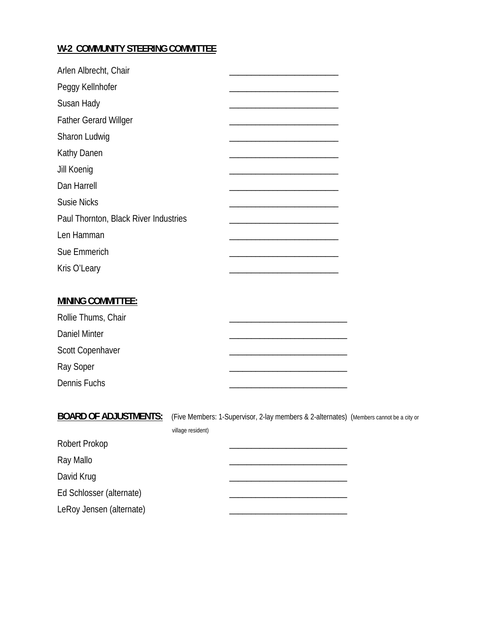### **W-2 COMMUNITY STEERING COMMITTEE**

| Arlen Albrecht, Chair                 |  |
|---------------------------------------|--|
| Peggy Kellnhofer                      |  |
| Susan Hady                            |  |
| <b>Father Gerard Willger</b>          |  |
| Sharon Ludwig                         |  |
| Kathy Danen                           |  |
| Jill Koenig                           |  |
| Dan Harrell                           |  |
| <b>Susie Nicks</b>                    |  |
| Paul Thornton, Black River Industries |  |
| Len Hamman                            |  |
| Sue Emmerich                          |  |
| Kris O'Leary                          |  |

#### **MINING COMMITTEE:**

| Rollie Thums, Chair |  |
|---------------------|--|
| Daniel Minter       |  |
| Scott Copenhaver    |  |
| Ray Soper           |  |
| Dennis Fuchs        |  |

**BOARD OF ADJUSTMENTS:** (Five Members: 1-Supervisor, 2-lay members & 2-alternates) (Members cannot be a city or village resident)

| Robert Prokop            |  |
|--------------------------|--|
| Ray Mallo                |  |
| David Krug               |  |
| Ed Schlosser (alternate) |  |
| LeRoy Jensen (alternate) |  |